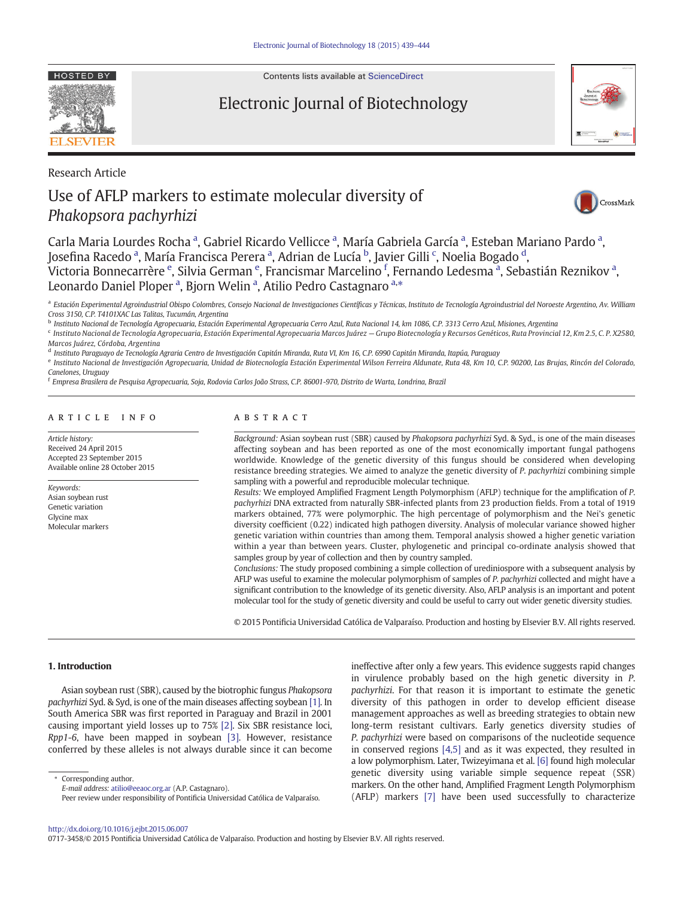

Contents lists available at [ScienceDirect](http://www.sciencedirect.com/science/journal/)

# Electronic Journal of Biotechnology



## Research Article

# Use of AFLP markers to estimate molecular diversity of Phakopsora pachyrhizi



Carla Maria Lourdes Rocha <sup>a</sup>, Gabriel Ricardo Vellicce <sup>a</sup>, María Gabriela García <sup>a</sup>, Esteban Mariano Pardo <sup>a</sup>, Josefina Racedo <sup>a</sup>, María Francisca Perera <sup>a</sup>, Adrian de Lucía <sup>b</sup>, Javier Gilli <sup>c</sup>, Noelia Bogado <sup>d</sup>, Victoria Bonnecarrère <sup>e</sup>, Silvia German <sup>e</sup>, Francismar Marcelino <sup>f</sup>, Fernando Ledesma <sup>a</sup>, Sebastián Reznikov <sup>a</sup>, Leonardo Daniel Ploper <sup>a</sup>, Bjorn Welin <sup>a</sup>, Atilio Pedro Castagnaro <sup>a,</sup>\*

a Estación Experimental Agroindustrial Obispo Colombres, Consejo Nacional de Investigaciones Científicas y Técnicas, Instituto de Tecnología Agroindustrial del Noroeste Argentino, Av. William Cross 3150, C.P. T4101XAC Las Talitas, Tucumán, Argentina

<sup>b</sup> Instituto Nacional de Tecnología Agropecuaria, Estación Experimental Agropecuaria Cerro Azul, Ruta Nacional 14, km 1086, C.P. 3313 Cerro Azul, Misiones, Argentina

<sup>c</sup> Instituto Nacional de Tecnología Agropecuaria, Estación Experimental Agropecuaria Marcos Juárez — Grupo Biotecnología y Recursos Genéticos, Ruta Provincial 12, Km 2.5, C. P. X2580, Marcos Juárez, Córdoba, Argentina

<sup>d</sup> Instituto Paraguayo de Tecnología Agraria Centro de Investigación Capitán Miranda, Ruta VI, Km 16, C.P. 6990 Capitán Miranda, Itapúa, Paraguay

<sup>e</sup> Instituto Nacional de Investigación Agropecuaria, Unidad de Biotecnología Estación Experimental Wilson Ferreira Aldunate, Ruta 48, Km 10, C.P. 90200, Las Brujas, Rincón del Colorado, Canelones, Uruguay

<sup>f</sup> Empresa Brasilera de Pesquisa Agropecuaria, Soja, Rodovia Carlos João Strass, C.P. 86001-970, Distrito de Warta, Londrina, Brazil

### article info abstract

Article history: Received 24 April 2015 Accepted 23 September 2015 Available online 28 October 2015

Keywords: Asian soybean rust Genetic variation Glycine max Molecular markers

Background: Asian soybean rust (SBR) caused by Phakopsora pachyrhizi Syd. & Syd., is one of the main diseases affecting soybean and has been reported as one of the most economically important fungal pathogens worldwide. Knowledge of the genetic diversity of this fungus should be considered when developing resistance breeding strategies. We aimed to analyze the genetic diversity of P. pachyrhizi combining simple sampling with a powerful and reproducible molecular technique.

Results: We employed Amplified Fragment Length Polymorphism (AFLP) technique for the amplification of P. pachyrhizi DNA extracted from naturally SBR-infected plants from 23 production fields. From a total of 1919 markers obtained, 77% were polymorphic. The high percentage of polymorphism and the Nei's genetic diversity coefficient (0.22) indicated high pathogen diversity. Analysis of molecular variance showed higher genetic variation within countries than among them. Temporal analysis showed a higher genetic variation within a year than between years. Cluster, phylogenetic and principal co-ordinate analysis showed that samples group by year of collection and then by country sampled.

Conclusions: The study proposed combining a simple collection of urediniospore with a subsequent analysis by AFLP was useful to examine the molecular polymorphism of samples of P. pachyrhizi collected and might have a significant contribution to the knowledge of its genetic diversity. Also, AFLP analysis is an important and potent molecular tool for the study of genetic diversity and could be useful to carry out wider genetic diversity studies.

© 2015 Pontificia Universidad Católica de Valparaíso. Production and hosting by Elsevier B.V. All rights reserved.

#### 1. Introduction

Asian soybean rust (SBR), caused by the biotrophic fungus Phakopsora pachyrhizi Syd. & Syd, is one of the main diseases affecting soybean [\[1\]](#page-4-0). In South America SBR was first reported in Paraguay and Brazil in 2001 causing important yield losses up to 75% [\[2\].](#page-4-0) Six SBR resistance loci, Rpp1-6, have been mapped in soybean [\[3\]](#page-4-0). However, resistance conferred by these alleles is not always durable since it can become ineffective after only a few years. This evidence suggests rapid changes in virulence probably based on the high genetic diversity in P. pachyrhizi. For that reason it is important to estimate the genetic diversity of this pathogen in order to develop efficient disease management approaches as well as breeding strategies to obtain new long-term resistant cultivars. Early genetics diversity studies of P. pachyrhizi were based on comparisons of the nucleotide sequence in conserved regions [\[4,5\]](#page-4-0) and as it was expected, they resulted in a low polymorphism. Later, Twizeyimana et al. [\[6\]](#page-4-0) found high molecular genetic diversity using variable simple sequence repeat (SSR) markers. On the other hand, Amplified Fragment Length Polymorphism (AFLP) markers [\[7\]](#page-4-0) have been used successfully to characterize

Corresponding author.

E-mail address: [atilio@eeaoc.org.ar](mailto:atilio@eeaoc.org.ar) (A.P. Castagnaro).

<http://dx.doi.org/10.1016/j.ejbt.2015.06.007>

Peer review under responsibility of Pontificia Universidad Católica de Valparaíso.

<sup>0717-3458/© 2015</sup> Pontificia Universidad Católica de Valparaíso. Production and hosting by Elsevier B.V. All rights reserved.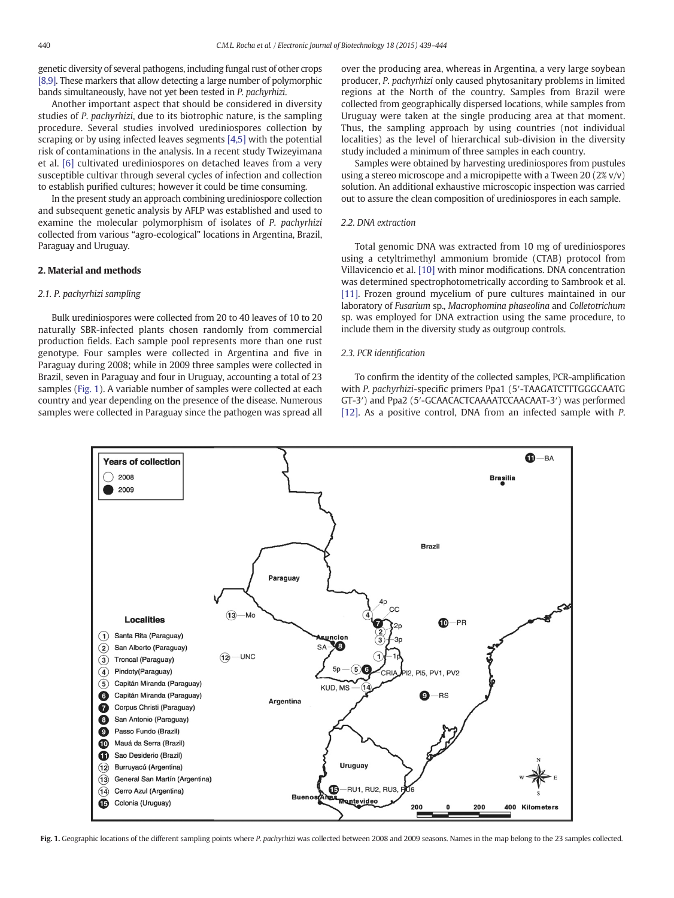<span id="page-1-0"></span>genetic diversity of several pathogens, including fungal rust of other crops [\[8,9\]](#page-4-0). These markers that allow detecting a large number of polymorphic bands simultaneously, have not yet been tested in P. pachyrhizi.

Another important aspect that should be considered in diversity studies of P. pachyrhizi, due to its biotrophic nature, is the sampling procedure. Several studies involved urediniospores collection by scraping or by using infected leaves segments [\[4,5\]](#page-4-0) with the potential risk of contaminations in the analysis. In a recent study Twizeyimana et al. [\[6\]](#page-4-0) cultivated urediniospores on detached leaves from a very susceptible cultivar through several cycles of infection and collection to establish purified cultures; however it could be time consuming.

In the present study an approach combining urediniospore collection and subsequent genetic analysis by AFLP was established and used to examine the molecular polymorphism of isolates of P. pachyrhizi collected from various "agro-ecological" locations in Argentina, Brazil, Paraguay and Uruguay.

### 2. Material and methods

### 2.1. P. pachyrhizi sampling

Bulk urediniospores were collected from 20 to 40 leaves of 10 to 20 naturally SBR-infected plants chosen randomly from commercial production fields. Each sample pool represents more than one rust genotype. Four samples were collected in Argentina and five in Paraguay during 2008; while in 2009 three samples were collected in Brazil, seven in Paraguay and four in Uruguay, accounting a total of 23 samples (Fig. 1). A variable number of samples were collected at each country and year depending on the presence of the disease. Numerous samples were collected in Paraguay since the pathogen was spread all over the producing area, whereas in Argentina, a very large soybean producer, P. pachyrhizi only caused phytosanitary problems in limited regions at the North of the country. Samples from Brazil were collected from geographically dispersed locations, while samples from Uruguay were taken at the single producing area at that moment. Thus, the sampling approach by using countries (not individual localities) as the level of hierarchical sub-division in the diversity study included a minimum of three samples in each country.

Samples were obtained by harvesting urediniospores from pustules using a stereo microscope and a micropipette with a Tween 20 (2% v/v) solution. An additional exhaustive microscopic inspection was carried out to assure the clean composition of urediniospores in each sample.

#### 2.2. DNA extraction

Total genomic DNA was extracted from 10 mg of urediniospores using a cetyltrimethyl ammonium bromide (CTAB) protocol from Villavicencio et al. [\[10\]](#page-5-0) with minor modifications. DNA concentration was determined spectrophotometrically according to Sambrook et al. [\[11\]](#page-5-0). Frozen ground mycelium of pure cultures maintained in our laboratory of Fusarium sp., Macrophomina phaseolina and Colletotrichum sp. was employed for DNA extraction using the same procedure, to include them in the diversity study as outgroup controls.

#### 2.3. PCR identification

To confirm the identity of the collected samples, PCR-amplification with P. pachyrhizi-specific primers Ppa1 (5'-TAAGATCTTTGGGCAATG GT-3′) and Ppa2 (5′-GCAACACTCAAAATCCAACAAT-3′) was performed [\[12\].](#page-5-0) As a positive control, DNA from an infected sample with P.



Fig. 1. Geographic locations of the different sampling points where P. pachyrhizi was collected between 2008 and 2009 seasons. Names in the map belong to the 23 samples collected.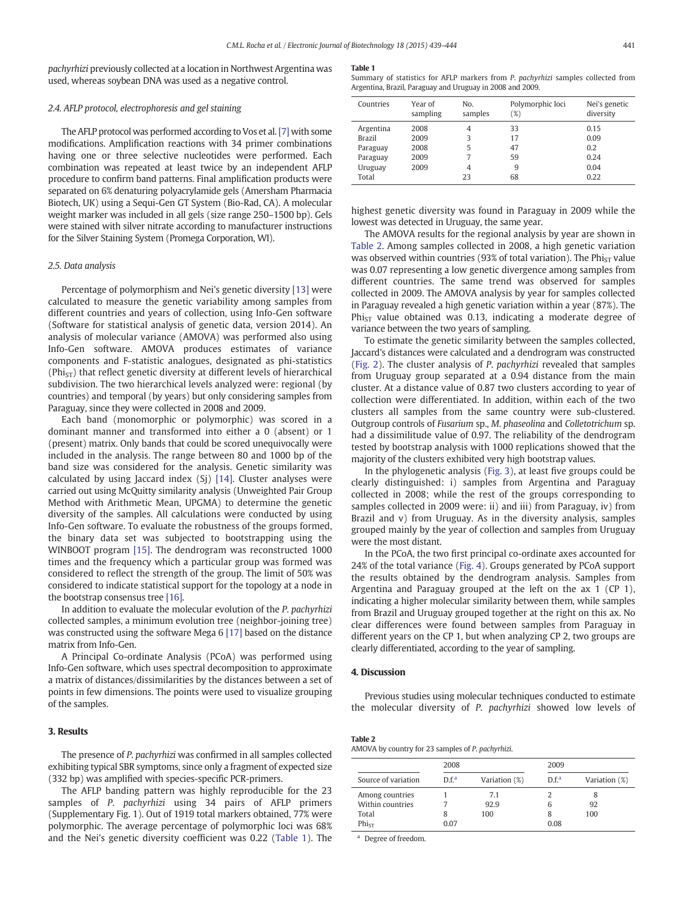pachyrhizi previously collected at a location in Northwest Argentina was used, whereas soybean DNA was used as a negative control.

#### 2.4. AFLP protocol, electrophoresis and gel staining

The AFLP protocol was performed according to Vos et al.[\[7\]](#page-4-0) with some modifications. Amplification reactions with 34 primer combinations having one or three selective nucleotides were performed. Each combination was repeated at least twice by an independent AFLP procedure to confirm band patterns. Final amplification products were separated on 6% denaturing polyacrylamide gels (Amersham Pharmacia Biotech, UK) using a Sequi-Gen GT System (Bio-Rad, CA). A molecular weight marker was included in all gels (size range 250–1500 bp). Gels were stained with silver nitrate according to manufacturer instructions for the Silver Staining System (Promega Corporation, WI).

### 2.5. Data analysis

Percentage of polymorphism and Nei's genetic diversity [\[13\]](#page-5-0) were calculated to measure the genetic variability among samples from different countries and years of collection, using Info-Gen software (Software for statistical analysis of genetic data, version 2014). An analysis of molecular variance (AMOVA) was performed also using Info-Gen software. AMOVA produces estimates of variance components and F-statistic analogues, designated as phi-statistics  $(Phi_{ST})$  that reflect genetic diversity at different levels of hierarchical subdivision. The two hierarchical levels analyzed were: regional (by countries) and temporal (by years) but only considering samples from Paraguay, since they were collected in 2008 and 2009.

Each band (monomorphic or polymorphic) was scored in a dominant manner and transformed into either a 0 (absent) or 1 (present) matrix. Only bands that could be scored unequivocally were included in the analysis. The range between 80 and 1000 bp of the band size was considered for the analysis. Genetic similarity was calculated by using Jaccard index  $(S<sub>i</sub>)$  [\[14\].](#page-5-0) Cluster analyses were carried out using McQuitty similarity analysis (Unweighted Pair Group Method with Arithmetic Mean, UPGMA) to determine the genetic diversity of the samples. All calculations were conducted by using Info-Gen software. To evaluate the robustness of the groups formed, the binary data set was subjected to bootstrapping using the WINBOOT program [\[15\].](#page-5-0) The dendrogram was reconstructed 1000 times and the frequency which a particular group was formed was considered to reflect the strength of the group. The limit of 50% was considered to indicate statistical support for the topology at a node in the bootstrap consensus tree [\[16\]](#page-5-0).

In addition to evaluate the molecular evolution of the P. pachyrhizi collected samples, a minimum evolution tree (neighbor-joining tree) was constructed using the software Mega 6 [\[17\]](#page-5-0) based on the distance matrix from Info-Gen.

A Principal Co-ordinate Analysis (PCoA) was performed using Info-Gen software, which uses spectral decomposition to approximate a matrix of distances/dissimilarities by the distances between a set of points in few dimensions. The points were used to visualize grouping of the samples.

#### 3. Results

The presence of P. pachyrhizi was confirmed in all samples collected exhibiting typical SBR symptoms, since only a fragment of expected size (332 bp) was amplified with species-specific PCR-primers.

The AFLP banding pattern was highly reproducible for the 23 samples of P. pachyrhizi using 34 pairs of AFLP primers (Supplementary Fig. 1). Out of 1919 total markers obtained, 77% were polymorphic. The average percentage of polymorphic loci was 68% and the Nei's genetic diversity coefficient was 0.22 (Table 1). The

#### Table 1

Summary of statistics for AFLP markers from P. pachyrhizi samples collected from Argentina, Brazil, Paraguay and Uruguay in 2008 and 2009.

| Countries     | Year of<br>sampling | N <sub>0</sub><br>samples | Polymorphic loci<br>(%) | Nei's genetic<br>diversity |
|---------------|---------------------|---------------------------|-------------------------|----------------------------|
| Argentina     | 2008                | 4                         | 33                      | 0.15                       |
| <b>Brazil</b> | 2009                | 3                         | 17                      | 0.09                       |
| Paraguay      | 2008                | 5                         | 47                      | 0.2                        |
| Paraguay      | 2009                |                           | 59                      | 0.24                       |
| Uruguay       | 2009                | 4                         | 9                       | 0.04                       |
| Total         |                     | 23                        | 68                      | 0.22                       |

highest genetic diversity was found in Paraguay in 2009 while the lowest was detected in Uruguay, the same year.

The AMOVA results for the regional analysis by year are shown in Table 2. Among samples collected in 2008, a high genetic variation was observed within countries (93% of total variation). The Phi $_{ST}$  value was 0.07 representing a low genetic divergence among samples from different countries. The same trend was observed for samples collected in 2009. The AMOVA analysis by year for samples collected in Paraguay revealed a high genetic variation within a year (87%). The  $Phi_{ST}$  value obtained was 0.13, indicating a moderate degree of variance between the two years of sampling.

To estimate the genetic similarity between the samples collected, Jaccard's distances were calculated and a dendrogram was constructed [\(Fig. 2](#page-3-0)). The cluster analysis of P. pachyrhizi revealed that samples from Uruguay group separated at a 0.94 distance from the main cluster. At a distance value of 0.87 two clusters according to year of collection were differentiated. In addition, within each of the two clusters all samples from the same country were sub-clustered. Outgroup controls of Fusarium sp., M. phaseolina and Colletotrichum sp. had a dissimilitude value of 0.97. The reliability of the dendrogram tested by bootstrap analysis with 1000 replications showed that the majority of the clusters exhibited very high bootstrap values.

In the phylogenetic analysis [\(Fig. 3\)](#page-3-0), at least five groups could be clearly distinguished: i) samples from Argentina and Paraguay collected in 2008; while the rest of the groups corresponding to samples collected in 2009 were: ii) and iii) from Paraguay, iv) from Brazil and v) from Uruguay. As in the diversity analysis, samples grouped mainly by the year of collection and samples from Uruguay were the most distant.

In the PCoA, the two first principal co-ordinate axes accounted for 24% of the total variance [\(Fig. 4\)](#page-4-0). Groups generated by PCoA support the results obtained by the dendrogram analysis. Samples from Argentina and Paraguay grouped at the left on the ax 1 (CP 1), indicating a higher molecular similarity between them, while samples from Brazil and Uruguay grouped together at the right on this ax. No clear differences were found between samples from Paraguay in different years on the CP 1, but when analyzing CP 2, two groups are clearly differentiated, according to the year of sampling.

#### 4. Discussion

Previous studies using molecular techniques conducted to estimate the molecular diversity of P. pachyrhizi showed low levels of

#### Table 2 AMOVA by country for 23 samples of P. pachyrhizi.

|                     | 2008 | 2009          |  |  |
|---------------------|------|---------------|--|--|
| Source of variation |      | Variation (%) |  |  |

| Source of variation                                 | $D.f^a$ | Variation (%)      | D.f. <sup>a</sup> | Variation (%) |
|-----------------------------------------------------|---------|--------------------|-------------------|---------------|
| Among countries<br>Within countries<br>Total<br>Phi | 0.07    | 7.1<br>92.9<br>100 | b<br>8<br>0.08    | 92<br>100     |
|                                                     |         |                    |                   |               |

<sup>a</sup> Degree of freedom.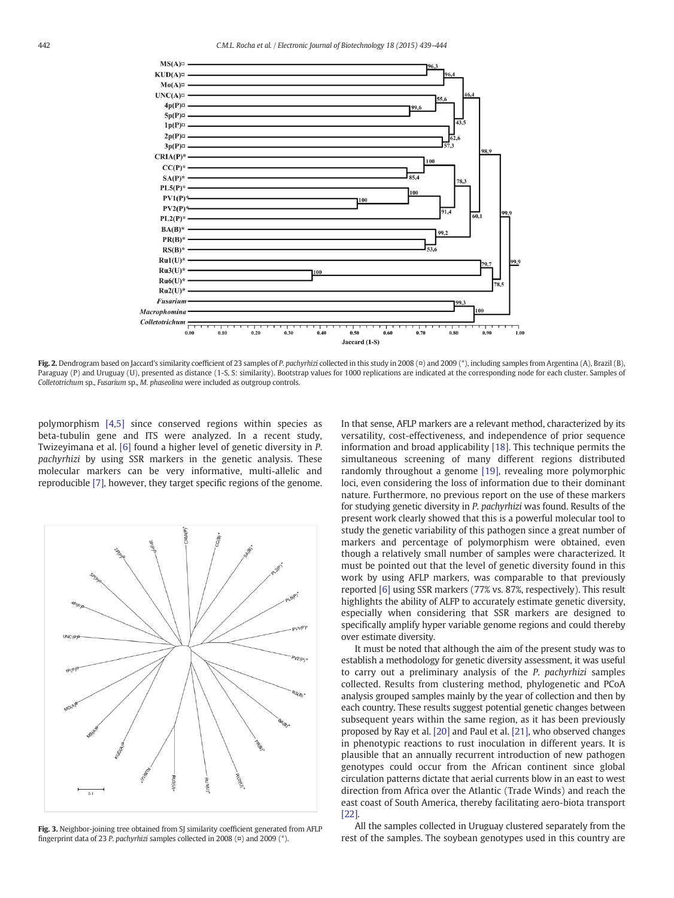<span id="page-3-0"></span>

Fig. 2. Dendrogram based on Jaccard's similarity coefficient of 23 samples of P. pachyrhizi collected in this study in 2008 ( $\alpha$ ) and 2009 (\*), including samples from Argentina (A), Brazil (B), Paraguay (P) and Uruguay (U), presented as distance (1-S, S: similarity). Bootstrap values for 1000 replications are indicated at the corresponding node for each cluster. Samples of Colletotrichum sp., Fusarium sp., M. phaseolina were included as outgroup controls.

polymorphism [\[4,5\]](#page-4-0) since conserved regions within species as beta-tubulin gene and ITS were analyzed. In a recent study, Twizeyimana et al. [\[6\]](#page-4-0) found a higher level of genetic diversity in P. pachyrhizi by using SSR markers in the genetic analysis. These molecular markers can be very informative, multi-allelic and reproducible [\[7\],](#page-4-0) however, they target specific regions of the genome.



Fig. 3. Neighbor-joining tree obtained from SJ similarity coefficient generated from AFLP fingerprint data of 23 P. pachyrhizi samples collected in 2008 (¤) and 2009 (\*).

In that sense, AFLP markers are a relevant method, characterized by its versatility, cost-effectiveness, and independence of prior sequence information and broad applicability [\[18\].](#page-5-0) This technique permits the simultaneous screening of many different regions distributed randomly throughout a genome [\[19\],](#page-5-0) revealing more polymorphic loci, even considering the loss of information due to their dominant nature. Furthermore, no previous report on the use of these markers for studying genetic diversity in P. pachyrhizi was found. Results of the present work clearly showed that this is a powerful molecular tool to study the genetic variability of this pathogen since a great number of markers and percentage of polymorphism were obtained, even though a relatively small number of samples were characterized. It must be pointed out that the level of genetic diversity found in this work by using AFLP markers, was comparable to that previously reported [\[6\]](#page-4-0) using SSR markers (77% vs. 87%, respectively). This result highlights the ability of ALFP to accurately estimate genetic diversity, especially when considering that SSR markers are designed to specifically amplify hyper variable genome regions and could thereby over estimate diversity.

It must be noted that although the aim of the present study was to establish a methodology for genetic diversity assessment, it was useful to carry out a preliminary analysis of the P. pachyrhizi samples collected. Results from clustering method, phylogenetic and PCoA analysis grouped samples mainly by the year of collection and then by each country. These results suggest potential genetic changes between subsequent years within the same region, as it has been previously proposed by Ray et al. [\[20\]](#page-5-0) and Paul et al. [\[21\],](#page-5-0) who observed changes in phenotypic reactions to rust inoculation in different years. It is plausible that an annually recurrent introduction of new pathogen genotypes could occur from the African continent since global circulation patterns dictate that aerial currents blow in an east to west direction from Africa over the Atlantic (Trade Winds) and reach the east coast of South America, thereby facilitating aero-biota transport [\[22\]](#page-5-0).

All the samples collected in Uruguay clustered separately from the rest of the samples. The soybean genotypes used in this country are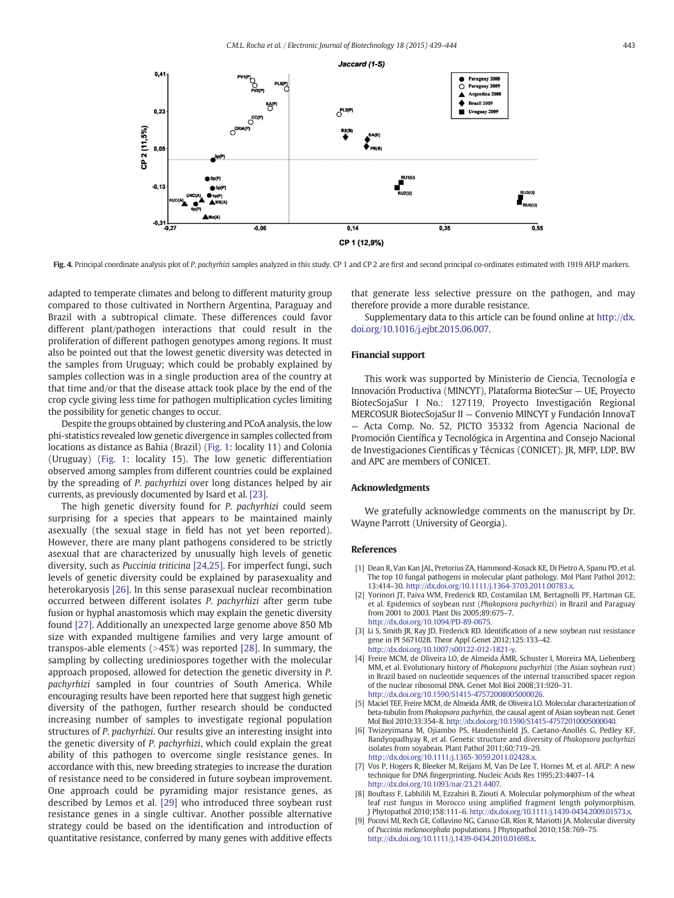<span id="page-4-0"></span>

Fig. 4. Principal coordinate analysis plot of P. pachyrhizi samples analyzed in this study. CP 1 and CP 2 are first and second principal co-ordinates estimated with 1919 AFLP markers.

adapted to temperate climates and belong to different maturity group compared to those cultivated in Northern Argentina, Paraguay and Brazil with a subtropical climate. These differences could favor different plant/pathogen interactions that could result in the proliferation of different pathogen genotypes among regions. It must also be pointed out that the lowest genetic diversity was detected in the samples from Uruguay; which could be probably explained by samples collection was in a single production area of the country at that time and/or that the disease attack took place by the end of the crop cycle giving less time for pathogen multiplication cycles limiting the possibility for genetic changes to occur.

Despite the groups obtained by clustering and PCoA analysis, the low phi-statistics revealed low genetic divergence in samples collected from locations as distance as Bahia (Brazil) ([Fig. 1:](#page-1-0) locality 11) and Colonia (Uruguay) ([Fig. 1:](#page-1-0) locality 15). The low genetic differentiation observed among samples from different countries could be explained by the spreading of P. pachyrhizi over long distances helped by air currents, as previously documented by Isard et al. [\[23\].](#page-5-0)

The high genetic diversity found for P. pachyrhizi could seem surprising for a species that appears to be maintained mainly asexually (the sexual stage in field has not yet been reported). However, there are many plant pathogens considered to be strictly asexual that are characterized by unusually high levels of genetic diversity, such as Puccinia triticina [\[24,25\]](#page-5-0). For imperfect fungi, such levels of genetic diversity could be explained by parasexuality and heterokaryosis [\[26\]](#page-5-0). In this sense parasexual nuclear recombination occurred between different isolates P. pachyrhizi after germ tube fusion or hyphal anastomosis which may explain the genetic diversity found [\[27\]](#page-5-0). Additionally an unexpected large genome above 850 Mb size with expanded multigene families and very large amount of transpos-able elements  $(>45%)$  was reported [\[28\].](#page-5-0) In summary, the sampling by collecting urediniospores together with the molecular approach proposed, allowed for detection the genetic diversity in P. pachyrhizi sampled in four countries of South America. While encouraging results have been reported here that suggest high genetic diversity of the pathogen, further research should be conducted increasing number of samples to investigate regional population structures of P. pachyrhizi. Our results give an interesting insight into the genetic diversity of P. pachyrhizi, which could explain the great ability of this pathogen to overcome single resistance genes. In accordance with this, new breeding strategies to increase the duration of resistance need to be considered in future soybean improvement. One approach could be pyramiding major resistance genes, as described by Lemos et al. [\[29\]](#page-5-0) who introduced three soybean rust resistance genes in a single cultivar. Another possible alternative strategy could be based on the identification and introduction of quantitative resistance, conferred by many genes with additive effects that generate less selective pressure on the pathogen, and may therefore provide a more durable resistance.

Supplementary data to this article can be found online at [http://dx.](http://dx.doi.org/10.1016/j.ejbt.2015.06.007) [doi.org/10.1016/j.ejbt.2015.06.007](http://dx.doi.org/10.1016/j.ejbt.2015.06.007).

#### Financial support

This work was supported by Ministerio de Ciencia, Tecnología e Innovación Productiva (MINCYT), Plataforma BiotecSur — UE, Proyecto BiotecSojaSur I No.: 127119, Proyecto Investigación Regional MERCOSUR BiotecSojaSur II — Convenio MINCYT y Fundación InnovaT Acta Comp. No. 52, PICTO 35332 from Agencia Nacional de Promoción Científica y Tecnológica in Argentina and Consejo Nacional de Investigaciones Científicas y Técnicas (CONICET). JR, MFP, LDP, BW and APC are members of CONICET.

#### Acknowledgments

We gratefully acknowledge comments on the manuscript by Dr. Wayne Parrott (University of Georgia).

#### References

- [1] Dean R, Van Kan JAL, Pretorius ZA, Hammond-Kosack KE, Di Pietro A, Spanu PD, et al. The top 10 fungal pathogens in molecular plant pathology. Mol Plant Pathol 2012; 13:414–30. <http://dx.doi.org/10.1111/j.1364-3703.2011.00783.x>.
- [2] Yorinori JT, Paiva WM, Frederick RD, Costamilan LM, Bertagnolli PF, Hartman GE, et al. Epidemics of soybean rust (Phakopsora pachyrhizi) in Brazil and Paraguay from 2001 to 2003. Plant Dis 2005;89:675–7. http://dx.doi.org/10.1094/PD-89-0675.
- [3] Li S, Smith JR, Ray JD, Frederick RD. Identification of a new soybean rust resistance gene in PI 567102B. Theor Appl Genet 2012;125:133–42. http://dx.doi.org/10.1007/s00122-012-1821-y.
- [4] Freire MCM, de Oliveira LO, de Almeida ÁMR, Schuster I, Moreira MA, Liebenberg MM, et al. Evolutionary history of Phakopsora pachyrhizi (the Asian soybean rust) in Brazil based on nucleotide sequences of the internal transcribed spacer region of the nuclear ribosomal DNA. Genet Mol Biol 2008;31:920–31. http://dx.doi.org/10.1590/S1415-47572008005000026.
- [5] Maciel TEF, Freire MCM, de Almeida ÁMR, de Oliveira LO. Molecular characterization of beta-tubulin from Phakopsora pachyrhizi, the causal agent of Asian soybean rust. Genet Mol Biol 2010;33:354–8. [http://dx.doi.org/10.1590/S1415-47572010005000040.](http://dx.doi.org/10.1590/S1415-47572010005000040)
- [6] Twizeyimana M, Ojiambo PS, Haudenshield JS, Caetano-Anollés G, Pedley KF, Bandyopadhyay R, et al. Genetic structure and diversity of Phakopsora pachyrhizi isolates from soyabean. Plant Pathol 2011;60:719–29. http://dx.doi.org/10.1111/j.1365-3059.2011.02428.x.
- [7] Vos P, Hogers R, Bleeker M, Reijans M, Van De Lee T, Hornes M, et al. AFLP: A new technique for DNA fingerprinting. Nucleic Acids Res 1995;23:4407–14. http://dx.doi.org/10.1093/nar/23.21.4407.
- [8] Bouftass F, Labhilili M, Ezzahiri B, Ziouti A. Molecular polymorphism of the wheat leaf rust fungus in Morocco using amplified fragment length polymorphism. J Phytopathol 2010;158:111–6. [http://dx.doi.org/10.1111/j.1439-0434.2009.01573.x.](http://dx.doi.org/10.1111/j.1439-0434.2009.01573.x)
- [9] Pocovi MI, Rech GE, Collavino NG, Caruso GB, Ríos R, Mariotti JA. Molecular diversity of Puccinia melanocephala populations. J Phytopathol 2010;158:769–75. http://dx.doi.org/10.1111/j.1439-0434.2010.01698.x.